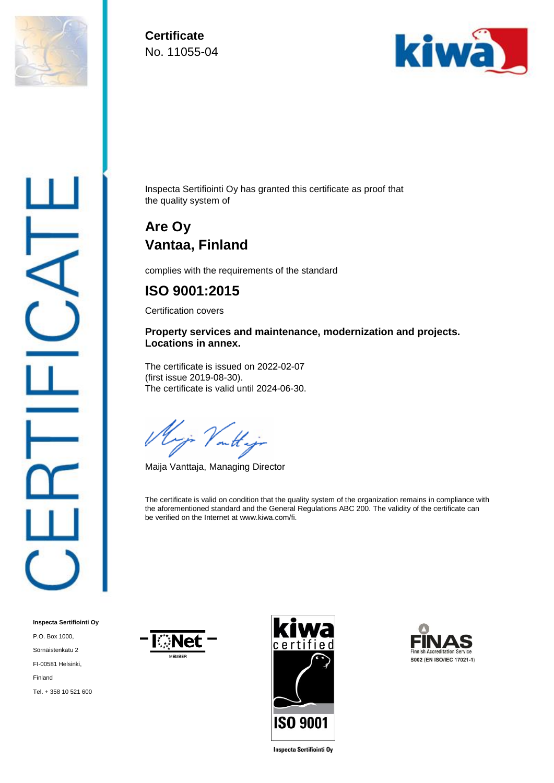

**Certificate**  No. 11055-04



Inspecta Sertifiointi Oy has granted this certificate as proof that the quality system of

## **Are Oy Vantaa, Finland**

complies with the requirements of the standard

## **ISO 9001:2015**

Certification covers

## **Property services and maintenance, modernization and projects. Locations in annex.**

The certificate is issued on 2022-02-07 (first issue 2019-08-30). The certificate is valid until 2024-06-30.

Vout

Maija Vanttaja, Managing Director

The certificate is valid on condition that the quality system of the organization remains in compliance with the aforementioned standard and the General Regulations ABC 200. The validity of the certificate can be verified on the Internet at www.kiwa.com/fi.

**Inspecta Sertifiointi Oy** P.O. Box 1000, Sörnäistenkatu 2 FI-00581 Helsinki, Finland Tel. + 358 10 521 600







**Inspecta Sertifiointi Oy**